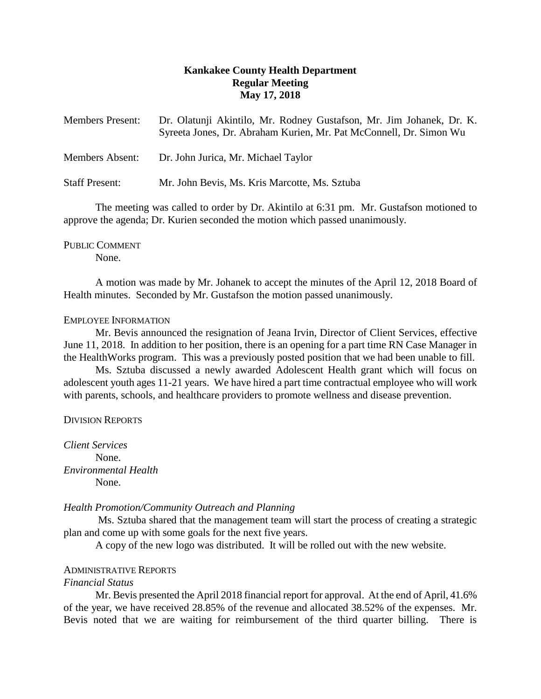# **Kankakee County Health Department Regular Meeting May 17, 2018**

| <b>Members Present:</b> | Dr. Olatunji Akintilo, Mr. Rodney Gustafson, Mr. Jim Johanek, Dr. K.<br>Syreeta Jones, Dr. Abraham Kurien, Mr. Pat McConnell, Dr. Simon Wu |
|-------------------------|--------------------------------------------------------------------------------------------------------------------------------------------|
| <b>Members Absent:</b>  | Dr. John Jurica, Mr. Michael Taylor                                                                                                        |
| <b>Staff Present:</b>   | Mr. John Bevis, Ms. Kris Marcotte, Ms. Sztuba                                                                                              |

The meeting was called to order by Dr. Akintilo at 6:31 pm. Mr. Gustafson motioned to approve the agenda; Dr. Kurien seconded the motion which passed unanimously.

PUBLIC COMMENT None.

A motion was made by Mr. Johanek to accept the minutes of the April 12, 2018 Board of Health minutes. Seconded by Mr. Gustafson the motion passed unanimously.

# EMPLOYEE INFORMATION

Mr. Bevis announced the resignation of Jeana Irvin, Director of Client Services, effective June 11, 2018. In addition to her position, there is an opening for a part time RN Case Manager in the HealthWorks program. This was a previously posted position that we had been unable to fill.

Ms. Sztuba discussed a newly awarded Adolescent Health grant which will focus on adolescent youth ages 11-21 years. We have hired a part time contractual employee who will work with parents, schools, and healthcare providers to promote wellness and disease prevention.

# DIVISION REPORTS

*Client Services* None. *Environmental Health* None.

*Health Promotion/Community Outreach and Planning*

Ms. Sztuba shared that the management team will start the process of creating a strategic plan and come up with some goals for the next five years.

A copy of the new logo was distributed. It will be rolled out with the new website.

# ADMINISTRATIVE REPORTS

# *Financial Status*

Mr. Bevis presented the April 2018 financial report for approval. At the end of April, 41.6% of the year, we have received 28.85% of the revenue and allocated 38.52% of the expenses. Mr. Bevis noted that we are waiting for reimbursement of the third quarter billing. There is